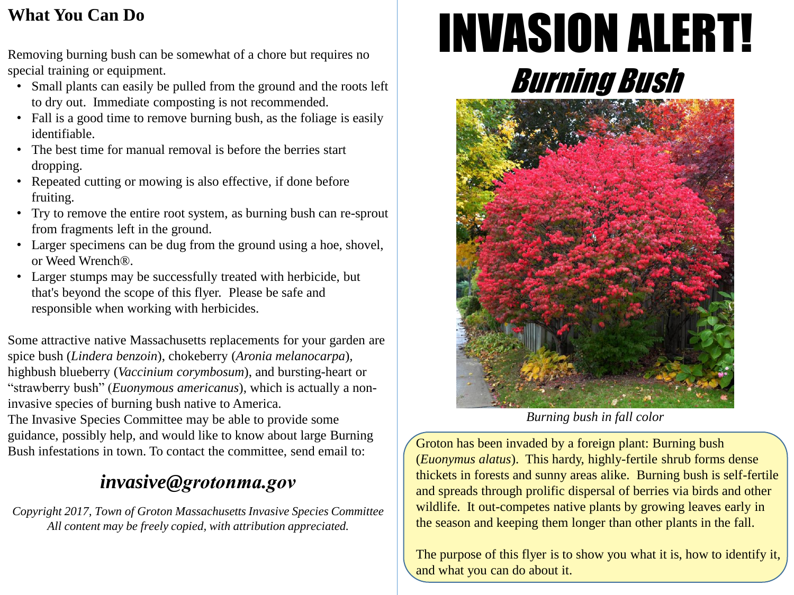## **What You Can Do**

Removing burning bush can be somewhat of a chore but requires no special training or equipment.

- Small plants can easily be pulled from the ground and the roots left to dry out. Immediate composting is not recommended.
- Fall is a good time to remove burning bush, as the foliage is easily identifiable.
- The best time for manual removal is before the berries start dropping.
- Repeated cutting or mowing is also effective, if done before fruiting.
- Try to remove the entire root system, as burning bush can re-sprout from fragments left in the ground.
- Larger specimens can be dug from the ground using a hoe, shovel, or Weed Wrench®.
- Larger stumps may be successfully treated with herbicide, but that's beyond the scope of this flyer. Please be safe and responsible when working with herbicides.

Some attractive native Massachusetts replacements for your garden are spice bush (*Lindera benzoin*), chokeberry (*Aronia melanocarpa*)*,* highbush blueberry (*Vaccinium corymbosum*), and bursting-heart or "strawberry bush" (*Euonymous americanus*), which is actually a noninvasive species of burning bush native to America.

The Invasive Species Committee may be able to provide some guidance, possibly help, and would like to know about large Burning Bush infestations in town. To contact the committee, send email to:

## *invasive@grotonma.gov*

*Copyright 2017, Town of Groton Massachusetts Invasive Species Committee All content may be freely copied, with attribution appreciated.*

# INVASION ALERT! Burning Bush



*Burning bush in fall color*

Groton has been invaded by a foreign plant: Burning bush (*Euonymus alatus*). This hardy, highly-fertile shrub forms dense thickets in forests and sunny areas alike. Burning bush is self-fertile and spreads through prolific dispersal of berries via birds and other wildlife. It out-competes native plants by growing leaves early in the season and keeping them longer than other plants in the fall.

The purpose of this flyer is to show you what it is, how to identify it, and what you can do about it.